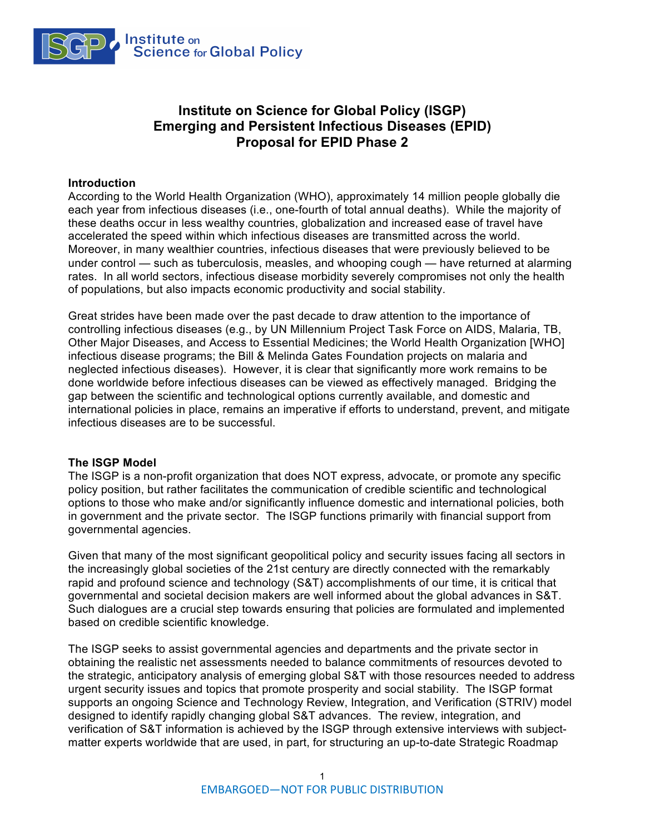

# **Institute on Science for Global Policy (ISGP) Emerging and Persistent Infectious Diseases (EPID) Proposal for EPID Phase 2**

#### **Introduction**

According to the World Health Organization (WHO), approximately 14 million people globally die each year from infectious diseases (i.e., one-fourth of total annual deaths). While the majority of these deaths occur in less wealthy countries, globalization and increased ease of travel have accelerated the speed within which infectious diseases are transmitted across the world. Moreover, in many wealthier countries, infectious diseases that were previously believed to be under control — such as tuberculosis, measles, and whooping cough — have returned at alarming rates. In all world sectors, infectious disease morbidity severely compromises not only the health of populations, but also impacts economic productivity and social stability.

Great strides have been made over the past decade to draw attention to the importance of controlling infectious diseases (e.g., by UN Millennium Project Task Force on AIDS, Malaria, TB, Other Major Diseases, and Access to Essential Medicines; the World Health Organization [WHO] infectious disease programs; the Bill & Melinda Gates Foundation projects on malaria and neglected infectious diseases). However, it is clear that significantly more work remains to be done worldwide before infectious diseases can be viewed as effectively managed. Bridging the gap between the scientific and technological options currently available, and domestic and international policies in place, remains an imperative if efforts to understand, prevent, and mitigate infectious diseases are to be successful.

#### **The ISGP Model**

The ISGP is a non-profit organization that does NOT express, advocate, or promote any specific policy position, but rather facilitates the communication of credible scientific and technological options to those who make and/or significantly influence domestic and international policies, both in government and the private sector. The ISGP functions primarily with financial support from governmental agencies.

Given that many of the most significant geopolitical policy and security issues facing all sectors in the increasingly global societies of the 21st century are directly connected with the remarkably rapid and profound science and technology (S&T) accomplishments of our time, it is critical that governmental and societal decision makers are well informed about the global advances in S&T. Such dialogues are a crucial step towards ensuring that policies are formulated and implemented based on credible scientific knowledge.

The ISGP seeks to assist governmental agencies and departments and the private sector in obtaining the realistic net assessments needed to balance commitments of resources devoted to the strategic, anticipatory analysis of emerging global S&T with those resources needed to address urgent security issues and topics that promote prosperity and social stability. The ISGP format supports an ongoing Science and Technology Review, Integration, and Verification (STRIV) model designed to identify rapidly changing global S&T advances. The review, integration, and verification of S&T information is achieved by the ISGP through extensive interviews with subjectmatter experts worldwide that are used, in part, for structuring an up-to-date Strategic Roadmap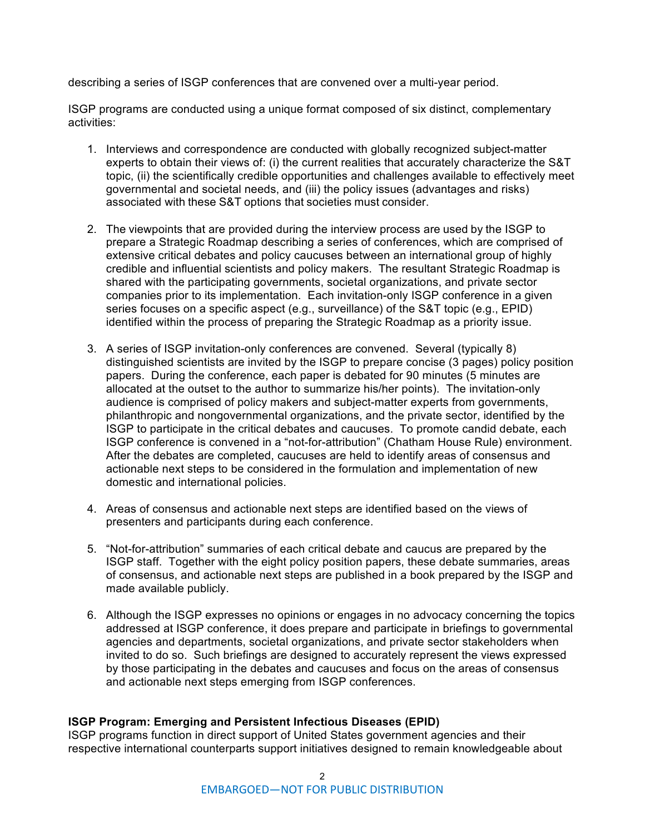describing a series of ISGP conferences that are convened over a multi-year period.

ISGP programs are conducted using a unique format composed of six distinct, complementary activities:

- 1. Interviews and correspondence are conducted with globally recognized subject-matter experts to obtain their views of: (i) the current realities that accurately characterize the S&T topic, (ii) the scientifically credible opportunities and challenges available to effectively meet governmental and societal needs, and (iii) the policy issues (advantages and risks) associated with these S&T options that societies must consider.
- 2. The viewpoints that are provided during the interview process are used by the ISGP to prepare a Strategic Roadmap describing a series of conferences, which are comprised of extensive critical debates and policy caucuses between an international group of highly credible and influential scientists and policy makers. The resultant Strategic Roadmap is shared with the participating governments, societal organizations, and private sector companies prior to its implementation. Each invitation-only ISGP conference in a given series focuses on a specific aspect (e.g., surveillance) of the S&T topic (e.g., EPID) identified within the process of preparing the Strategic Roadmap as a priority issue.
- 3. A series of ISGP invitation-only conferences are convened. Several (typically 8) distinguished scientists are invited by the ISGP to prepare concise (3 pages) policy position papers. During the conference, each paper is debated for 90 minutes (5 minutes are allocated at the outset to the author to summarize his/her points). The invitation-only audience is comprised of policy makers and subject-matter experts from governments, philanthropic and nongovernmental organizations, and the private sector, identified by the ISGP to participate in the critical debates and caucuses. To promote candid debate, each ISGP conference is convened in a "not-for-attribution" (Chatham House Rule) environment. After the debates are completed, caucuses are held to identify areas of consensus and actionable next steps to be considered in the formulation and implementation of new domestic and international policies.
- 4. Areas of consensus and actionable next steps are identified based on the views of presenters and participants during each conference.
- 5. "Not-for-attribution" summaries of each critical debate and caucus are prepared by the ISGP staff. Together with the eight policy position papers, these debate summaries, areas of consensus, and actionable next steps are published in a book prepared by the ISGP and made available publicly.
- 6. Although the ISGP expresses no opinions or engages in no advocacy concerning the topics addressed at ISGP conference, it does prepare and participate in briefings to governmental agencies and departments, societal organizations, and private sector stakeholders when invited to do so. Such briefings are designed to accurately represent the views expressed by those participating in the debates and caucuses and focus on the areas of consensus and actionable next steps emerging from ISGP conferences.

## **ISGP Program: Emerging and Persistent Infectious Diseases (EPID)**

ISGP programs function in direct support of United States government agencies and their respective international counterparts support initiatives designed to remain knowledgeable about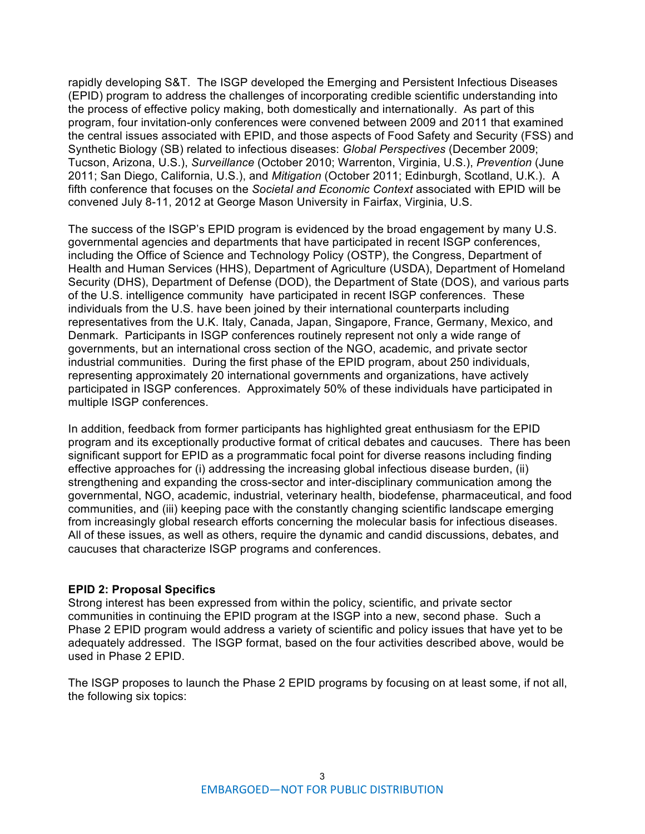rapidly developing S&T. The ISGP developed the Emerging and Persistent Infectious Diseases (EPID) program to address the challenges of incorporating credible scientific understanding into the process of effective policy making, both domestically and internationally. As part of this program, four invitation-only conferences were convened between 2009 and 2011 that examined the central issues associated with EPID, and those aspects of Food Safety and Security (FSS) and Synthetic Biology (SB) related to infectious diseases: *Global Perspectives* (December 2009; Tucson, Arizona, U.S.), *Surveillance* (October 2010; Warrenton, Virginia, U.S.), *Prevention* (June 2011; San Diego, California, U.S.), and *Mitigation* (October 2011; Edinburgh, Scotland, U.K.). A fifth conference that focuses on the *Societal and Economic Context* associated with EPID will be convened July 8-11, 2012 at George Mason University in Fairfax, Virginia, U.S.

The success of the ISGP's EPID program is evidenced by the broad engagement by many U.S. governmental agencies and departments that have participated in recent ISGP conferences, including the Office of Science and Technology Policy (OSTP), the Congress, Department of Health and Human Services (HHS), Department of Agriculture (USDA), Department of Homeland Security (DHS), Department of Defense (DOD), the Department of State (DOS), and various parts of the U.S. intelligence community have participated in recent ISGP conferences. These individuals from the U.S. have been joined by their international counterparts including representatives from the U.K. Italy, Canada, Japan, Singapore, France, Germany, Mexico, and Denmark. Participants in ISGP conferences routinely represent not only a wide range of governments, but an international cross section of the NGO, academic, and private sector industrial communities. During the first phase of the EPID program, about 250 individuals, representing approximately 20 international governments and organizations, have actively participated in ISGP conferences. Approximately 50% of these individuals have participated in multiple ISGP conferences.

In addition, feedback from former participants has highlighted great enthusiasm for the EPID program and its exceptionally productive format of critical debates and caucuses. There has been significant support for EPID as a programmatic focal point for diverse reasons including finding effective approaches for (i) addressing the increasing global infectious disease burden, (ii) strengthening and expanding the cross-sector and inter-disciplinary communication among the governmental, NGO, academic, industrial, veterinary health, biodefense, pharmaceutical, and food communities, and (iii) keeping pace with the constantly changing scientific landscape emerging from increasingly global research efforts concerning the molecular basis for infectious diseases. All of these issues, as well as others, require the dynamic and candid discussions, debates, and caucuses that characterize ISGP programs and conferences.

## **EPID 2: Proposal Specifics**

Strong interest has been expressed from within the policy, scientific, and private sector communities in continuing the EPID program at the ISGP into a new, second phase. Such a Phase 2 EPID program would address a variety of scientific and policy issues that have yet to be adequately addressed. The ISGP format, based on the four activities described above, would be used in Phase 2 EPID.

The ISGP proposes to launch the Phase 2 EPID programs by focusing on at least some, if not all, the following six topics: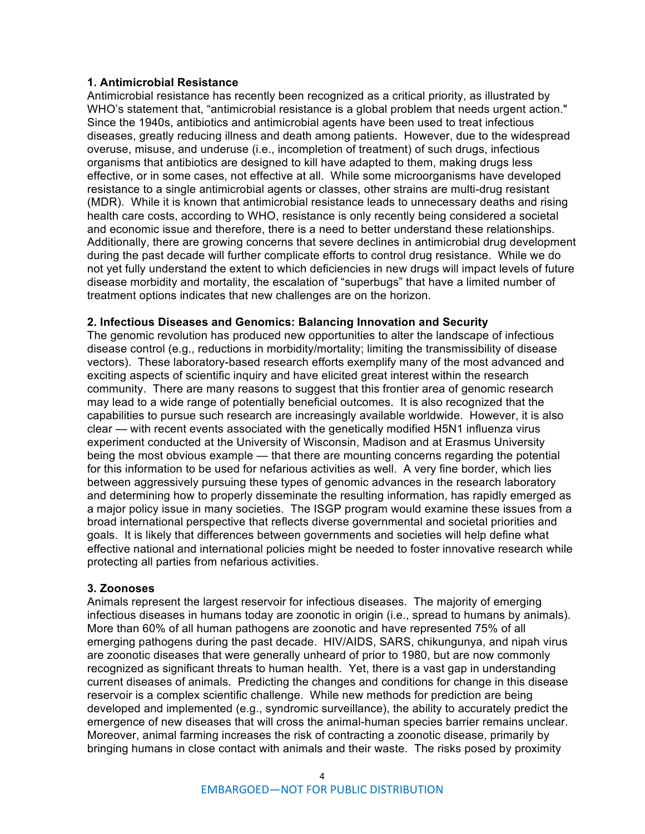#### **1. Antimicrobial Resistance**

Antimicrobial resistance has recently been recognized as a critical priority, as illustrated by WHO's statement that, "antimicrobial resistance is a global problem that needs urgent action." Since the 1940s, antibiotics and antimicrobial agents have been used to treat infectious diseases, greatly reducing illness and death among patients. However, due to the widespread overuse, misuse, and underuse (i.e., incompletion of treatment) of such drugs, infectious organisms that antibiotics are designed to kill have adapted to them, making drugs less effective, or in some cases, not effective at all. While some microorganisms have developed resistance to a single antimicrobial agents or classes, other strains are multi-drug resistant (MDR). While it is known that antimicrobial resistance leads to unnecessary deaths and rising health care costs, according to WHO, resistance is only recently being considered a societal and economic issue and therefore, there is a need to better understand these relationships. Additionally, there are growing concerns that severe declines in antimicrobial drug development during the past decade will further complicate efforts to control drug resistance. While we do not yet fully understand the extent to which deficiencies in new drugs will impact levels of future disease morbidity and mortality, the escalation of "superbugs" that have a limited number of treatment options indicates that new challenges are on the horizon.

## **2. Infectious Diseases and Genomics: Balancing Innovation and Security**

The genomic revolution has produced new opportunities to alter the landscape of infectious disease control (e.g., reductions in morbidity/mortality; limiting the transmissibility of disease vectors). These laboratory-based research efforts exemplify many of the most advanced and exciting aspects of scientific inquiry and have elicited great interest within the research community. There are many reasons to suggest that this frontier area of genomic research may lead to a wide range of potentially beneficial outcomes. It is also recognized that the capabilities to pursue such research are increasingly available worldwide. However, it is also clear — with recent events associated with the genetically modified H5N1 influenza virus experiment conducted at the University of Wisconsin, Madison and at Erasmus University being the most obvious example — that there are mounting concerns regarding the potential for this information to be used for nefarious activities as well. A very fine border, which lies between aggressively pursuing these types of genomic advances in the research laboratory and determining how to properly disseminate the resulting information, has rapidly emerged as a major policy issue in many societies. The ISGP program would examine these issues from a broad international perspective that reflects diverse governmental and societal priorities and goals. It is likely that differences between governments and societies will help define what effective national and international policies might be needed to foster innovative research while protecting all parties from nefarious activities.

## **3. Zoonoses**

Animals represent the largest reservoir for infectious diseases. The majority of emerging infectious diseases in humans today are zoonotic in origin (i.e., spread to humans by animals). More than 60% of all human pathogens are zoonotic and have represented 75% of all emerging pathogens during the past decade. HIV/AIDS, SARS, chikungunya, and nipah virus are zoonotic diseases that were generally unheard of prior to 1980, but are now commonly recognized as significant threats to human health. Yet, there is a vast gap in understanding current diseases of animals. Predicting the changes and conditions for change in this disease reservoir is a complex scientific challenge. While new methods for prediction are being developed and implemented (e.g., syndromic surveillance), the ability to accurately predict the emergence of new diseases that will cross the animal-human species barrier remains unclear. Moreover, animal farming increases the risk of contracting a zoonotic disease, primarily by bringing humans in close contact with animals and their waste. The risks posed by proximity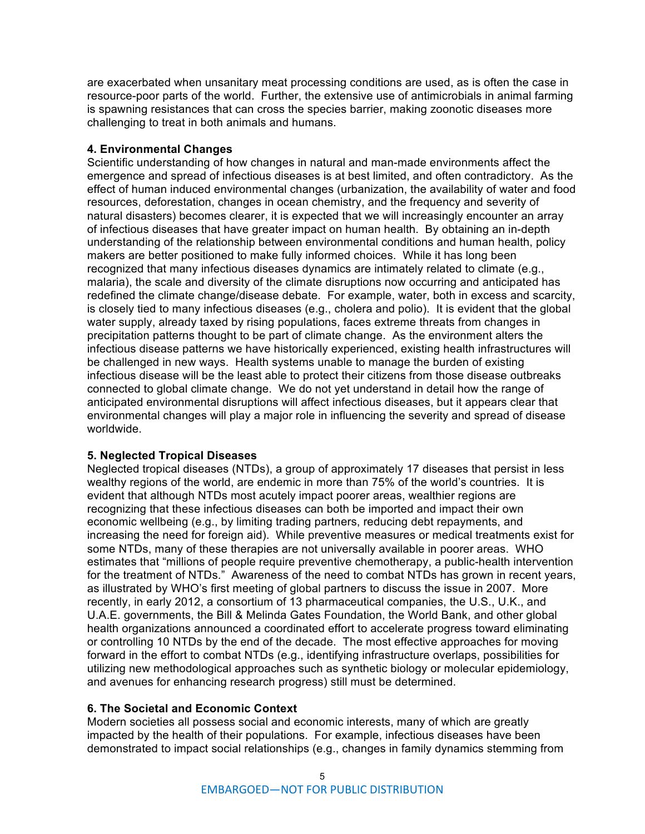are exacerbated when unsanitary meat processing conditions are used, as is often the case in resource-poor parts of the world. Further, the extensive use of antimicrobials in animal farming is spawning resistances that can cross the species barrier, making zoonotic diseases more challenging to treat in both animals and humans.

#### **4. Environmental Changes**

Scientific understanding of how changes in natural and man-made environments affect the emergence and spread of infectious diseases is at best limited, and often contradictory. As the effect of human induced environmental changes (urbanization, the availability of water and food resources, deforestation, changes in ocean chemistry, and the frequency and severity of natural disasters) becomes clearer, it is expected that we will increasingly encounter an array of infectious diseases that have greater impact on human health. By obtaining an in-depth understanding of the relationship between environmental conditions and human health, policy makers are better positioned to make fully informed choices. While it has long been recognized that many infectious diseases dynamics are intimately related to climate (e.g., malaria), the scale and diversity of the climate disruptions now occurring and anticipated has redefined the climate change/disease debate. For example, water, both in excess and scarcity, is closely tied to many infectious diseases (e.g., cholera and polio). It is evident that the global water supply, already taxed by rising populations, faces extreme threats from changes in precipitation patterns thought to be part of climate change. As the environment alters the infectious disease patterns we have historically experienced, existing health infrastructures will be challenged in new ways. Health systems unable to manage the burden of existing infectious disease will be the least able to protect their citizens from those disease outbreaks connected to global climate change. We do not yet understand in detail how the range of anticipated environmental disruptions will affect infectious diseases, but it appears clear that environmental changes will play a major role in influencing the severity and spread of disease worldwide.

#### **5. Neglected Tropical Diseases**

Neglected tropical diseases (NTDs), a group of approximately 17 diseases that persist in less wealthy regions of the world, are endemic in more than 75% of the world's countries. It is evident that although NTDs most acutely impact poorer areas, wealthier regions are recognizing that these infectious diseases can both be imported and impact their own economic wellbeing (e.g., by limiting trading partners, reducing debt repayments, and increasing the need for foreign aid). While preventive measures or medical treatments exist for some NTDs, many of these therapies are not universally available in poorer areas. WHO estimates that "millions of people require preventive chemotherapy, a public-health intervention for the treatment of NTDs." Awareness of the need to combat NTDs has grown in recent years, as illustrated by WHO's first meeting of global partners to discuss the issue in 2007. More recently, in early 2012, a consortium of 13 pharmaceutical companies, the U.S., U.K., and U.A.E. governments, the Bill & Melinda Gates Foundation, the World Bank, and other global health organizations announced a coordinated effort to accelerate progress toward eliminating or controlling 10 NTDs by the end of the decade. The most effective approaches for moving forward in the effort to combat NTDs (e.g., identifying infrastructure overlaps, possibilities for utilizing new methodological approaches such as synthetic biology or molecular epidemiology, and avenues for enhancing research progress) still must be determined.

## **6. The Societal and Economic Context**

Modern societies all possess social and economic interests, many of which are greatly impacted by the health of their populations. For example, infectious diseases have been demonstrated to impact social relationships (e.g., changes in family dynamics stemming from